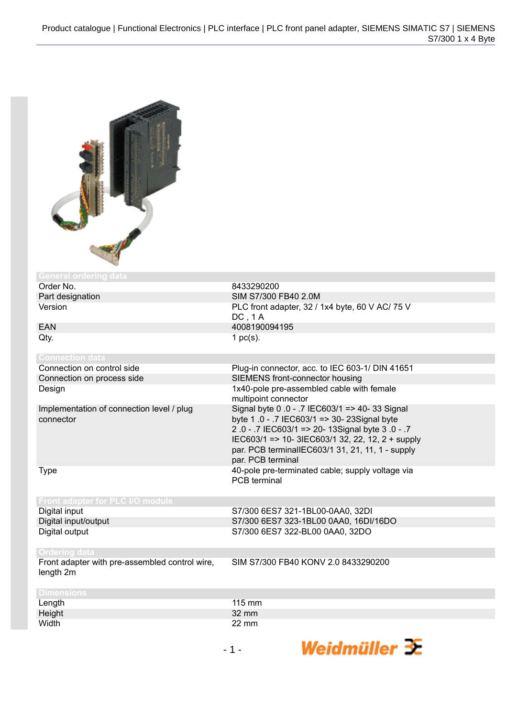

| General ordering data                                  |                                                                                                                                                                                                                                                                                |
|--------------------------------------------------------|--------------------------------------------------------------------------------------------------------------------------------------------------------------------------------------------------------------------------------------------------------------------------------|
| Order No.                                              | 8433290200                                                                                                                                                                                                                                                                     |
| Part designation                                       | SIM S7/300 FB40 2.0M                                                                                                                                                                                                                                                           |
| Version                                                | PLC front adapter, 32 / 1x4 byte, 60 V AC/ 75 V<br>DC, 1A                                                                                                                                                                                                                      |
| <b>EAN</b>                                             | 4008190094195                                                                                                                                                                                                                                                                  |
| Qty.                                                   | 1 $pc(s)$ .                                                                                                                                                                                                                                                                    |
| <b>Connection data</b>                                 |                                                                                                                                                                                                                                                                                |
| Connection on control side                             | Plug-in connector, acc. to IEC 603-1/ DIN 41651                                                                                                                                                                                                                                |
| Connection on process side                             | SIEMENS front-connector housing                                                                                                                                                                                                                                                |
| Design                                                 | 1x40-pole pre-assembled cable with female<br>multipoint connector                                                                                                                                                                                                              |
| Implementation of connection level / plug<br>connector | Signal byte 0 .0 - .7 IEC603/1 => 40- 33 Signal<br>byte 1 .0 - .7 IEC603/1 => 30- 23Signal byte<br>2.0 - .7 IEC603/1 => 20-13Signal byte 3.0 - .7<br>IEC603/1 => 10- 3IEC603/1 32, 22, 12, 2 + supply<br>par. PCB terminalIEC603/1 31, 21, 11, 1 - supply<br>par. PCB terminal |
| Type                                                   | 40-pole pre-terminated cable; supply voltage via<br><b>PCB</b> terminal                                                                                                                                                                                                        |
| Front adapter for PLC I/O module                       |                                                                                                                                                                                                                                                                                |
| Digital input                                          | S7/300 6ES7 321-1BL00-0AA0, 32DI                                                                                                                                                                                                                                               |
| Digital input/output                                   | S7/300 6ES7 323-1BL00 0AA0, 16DI/16DO                                                                                                                                                                                                                                          |
| Digital output                                         | S7/300 6ES7 322-BL00 0AA0, 32DO                                                                                                                                                                                                                                                |

## Front adapter with pre-assembled control wire,

SIM S7/300 FB40 KONV 2.0 8433290200

| Front adapter |  |
|---------------|--|
| length 2m     |  |

| <b>Dimensions</b> |                  |
|-------------------|------------------|
|                   | $115 \text{ mm}$ |
| Length<br>Height  | 32 mm            |
| Width             | 22 mm            |